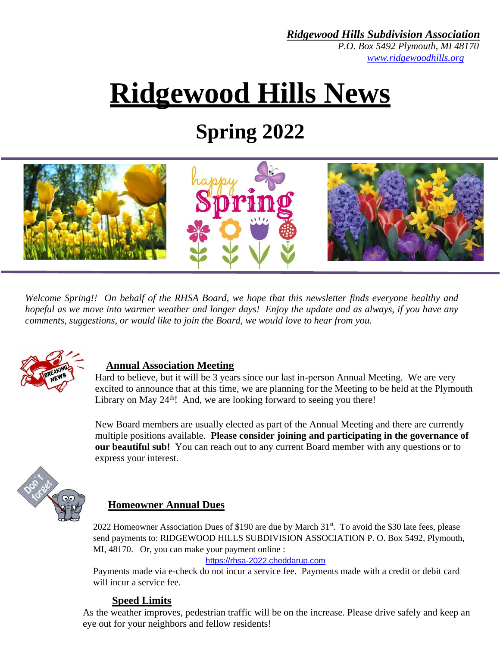*P.O. Box 5492 Plymouth, MI 48170 [www.ridgewoodhills.org](http://www.ridgewoodhills.org/)*

# **Ridgewood Hills News**

### **Spring 2022**



*Welcome Spring!! On behalf of the RHSA Board, we hope that this newsletter finds everyone healthy and hopeful as we move into warmer weather and longer days! Enjoy the update and as always, if you have any comments, suggestions, or would like to join the Board, we would love to hear from you.* 



#### **Annual Association Meeting**

Hard to believe, but it will be 3 years since our last in-person Annual Meeting. We are very excited to announce that at this time, we are planning for the Meeting to be held at the Plymouth Library on May  $24<sup>th</sup>$ ! And, we are looking forward to seeing you there!

New Board members are usually elected as part of the Annual Meeting and there are currently multiple positions available. **Please consider joining and participating in the governance of our beautiful sub!** You can reach out to any current Board member with any questions or to express your interest.



#### **Homeowner Annual Dues**

2022 Homeowner Association Dues of \$190 are due by March 31st. To avoid the \$30 late fees, please send payments to: RIDGEWOOD HILLS SUBDIVISION ASSOCIATION P. O. Box 5492, Plymouth, MI, 48170. Or, you can make your payment online :

[https://rhsa-2022.cheddarup.com](https://rhsa-2022.cheddarup.com/)

Payments made via e-check do not incur a service fee. Payments made with a credit or debit card will incur a service fee.

#### **Speed Limits**

As the weather improves, pedestrian traffic will be on the increase. Please drive safely and keep an eye out for your neighbors and fellow residents!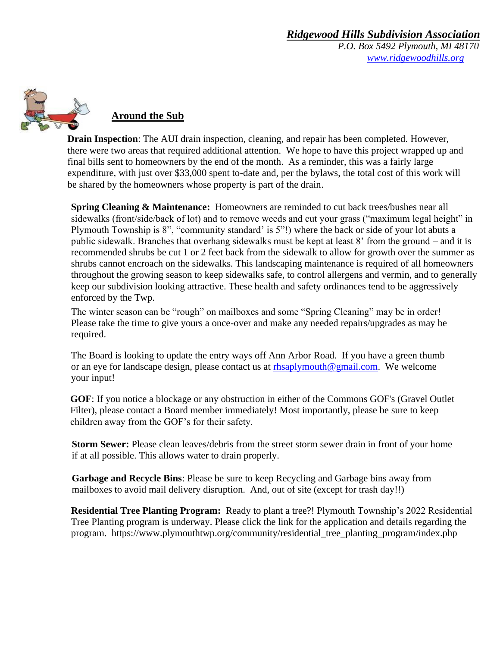*P.O. Box 5492 Plymouth, MI 48170 [www.ridgewoodhills.org](http://www.ridgewoodhills.org/)*



#### **Around the Sub**

**Drain Inspection**: The AUI drain inspection, cleaning, and repair has been completed. However, there were two areas that required additional attention. We hope to have this project wrapped up and final bills sent to homeowners by the end of the month. As a reminder, this was a fairly large expenditure, with just over \$33,000 spent to-date and, per the bylaws, the total cost of this work will be shared by the homeowners whose property is part of the drain.

**Spring Cleaning & Maintenance:** Homeowners are reminded to cut back trees/bushes near all sidewalks (front/side/back of lot) and to remove weeds and cut your grass ("maximum legal height" in Plymouth Township is 8", "community standard' is 5"!) where the back or side of your lot abuts a public sidewalk. Branches that overhang sidewalks must be kept at least 8' from the ground – and it is recommended shrubs be cut 1 or 2 feet back from the sidewalk to allow for growth over the summer as shrubs cannot encroach on the sidewalks. This landscaping maintenance is required of all homeowners throughout the growing season to keep sidewalks safe, to control allergens and vermin, and to generally keep our subdivision looking attractive. These health and safety ordinances tend to be aggressively enforced by the Twp.

The winter season can be "rough" on mailboxes and some "Spring Cleaning" may be in order! Please take the time to give yours a once-over and make any needed repairs/upgrades as may be required.

The Board is looking to update the entry ways off Ann Arbor Road. If you have a green thumb or an eye for landscape design, please contact us at [rhsaplymouth@gmail.com.](mailto:rhsaplymouth@gmail.com) We welcome your input!

**GOF**: If you notice a blockage or any obstruction in either of the Commons GOF's (Gravel Outlet Filter), please contact a Board member immediately! Most importantly, please be sure to keep children away from the GOF's for their safety.

**Storm Sewer:** Please clean leaves/debris from the street storm sewer drain in front of your home if at all possible. This allows water to drain properly.

**Garbage and Recycle Bins**: Please be sure to keep Recycling and Garbage bins away from mailboxes to avoid mail delivery disruption. And, out of site (except for trash day!!)

**Residential Tree Planting Program:** Ready to plant a tree?! Plymouth Township's 2022 Residential Tree Planting program is underway. Please click the link for the application and details regarding the program. [https://www.plymouthtwp.org/community/residential\\_tree\\_planting\\_program/index.php](https://www.plymouthtwp.org/community/residential_tree_planting_program/index.php)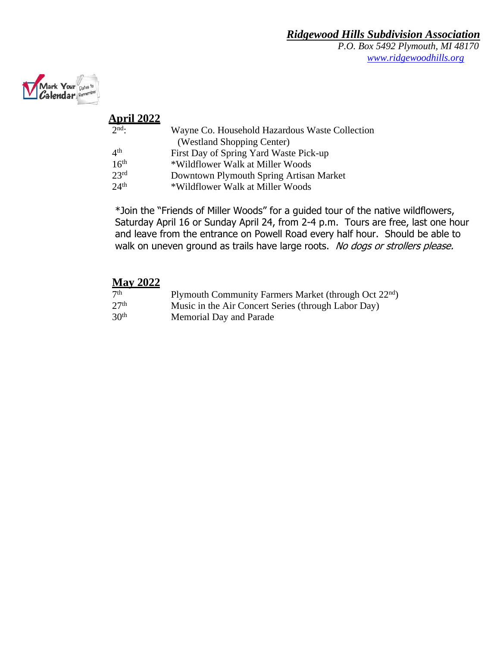*P.O. Box 5492 Plymouth, MI 48170 [www.ridgewoodhills.org](http://www.ridgewoodhills.org/)*



#### **April 2022**

| $2nd$ :          | Wayne Co. Household Hazardous Waste Collection |
|------------------|------------------------------------------------|
|                  | (Westland Shopping Center)                     |
| 4 <sup>th</sup>  | First Day of Spring Yard Waste Pick-up         |
| 16 <sup>th</sup> | *Wildflower Walk at Miller Woods               |
| 23 <sup>rd</sup> | Downtown Plymouth Spring Artisan Market        |
| 24 <sup>th</sup> | *Wildflower Walk at Miller Woods               |

\*Join the "Friends of Miller Woods" for a guided tour of the native wildflowers, Saturday April 16 or Sunday April 24, from 2-4 p.m. Tours are free, last one hour and leave from the entrance on Powell Road every half hour. Should be able to walk on uneven ground as trails have large roots. No dogs or strollers please.

#### **May 2022**

| 7 <sup>th</sup>  | Plymouth Community Farmers Market (through Oct 22 <sup>nd</sup> ) |
|------------------|-------------------------------------------------------------------|
| 27 <sup>th</sup> | Music in the Air Concert Series (through Labor Day)               |
| 30 <sup>th</sup> | Memorial Day and Parade                                           |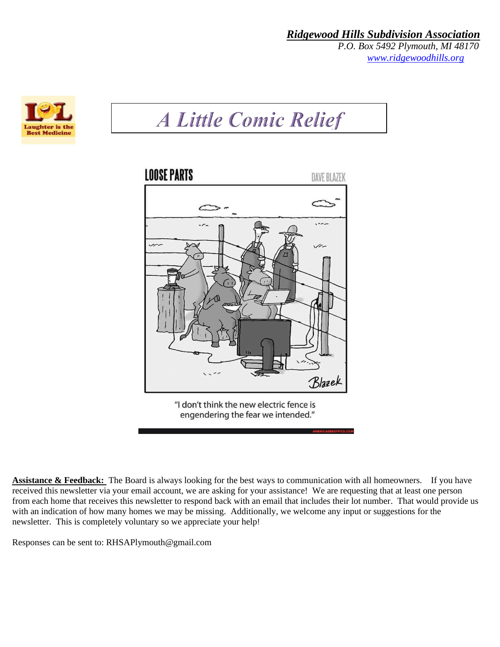*P.O. Box 5492 Plymouth, MI 48170 [www.ridgewoodhills.org](http://www.ridgewoodhills.org/)*



## **A Little Comic Relief**



**Assistance & Feedback:** The Board is always looking for the best ways to communication with all homeowners. If you have received this newsletter via your email account, we are asking for your assistance! We are requesting that at least one person from each home that receives this newsletter to respond back with an email that includes their lot number. That would provide us with an indication of how many homes we may be missing. Additionally, we welcome any input or suggestions for the newsletter. This is completely voluntary so we appreciate your help!

Responses can be sent to: RHSAPlymouth@gmail.com